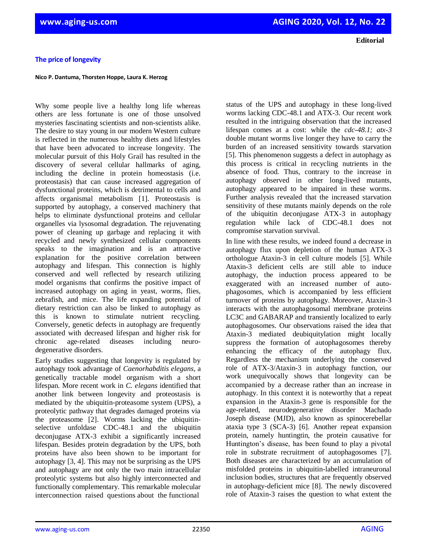**Editorial**

## **The price of longevity**

**Nico P. Dantuma, Thorsten Hoppe, Laura K. Herzog**

Why some people live a healthy long life whereas others are less fortunate is one of those unsolved mysteries fascinating scientists and non-scientists alike. The desire to stay young in our modern Western culture is reflected in the numerous healthy diets and lifestyles that have been advocated to increase longevity. The molecular pursuit of this Holy Grail has resulted in the discovery of several cellular hallmarks of aging, including the decline in protein homeostasis (i.e. proteostasis) that can cause increased aggregation of dysfunctional proteins, which is detrimental to cells and affects organismal metabolism [1]. Proteostasis is supported by autophagy, a conserved machinery that helps to eliminate dysfunctional proteins and cellular organelles via lysosomal degradation. The rejuvenating power of cleaning up garbage and replacing it with recycled and newly synthesized cellular components speaks to the imagination and is an attractive explanation for the positive correlation between autophagy and lifespan. This connection is highly conserved and well reflected by research utilizing model organisms that confirms the positive impact of increased autophagy on aging in yeast, worms, flies, zebrafish, and mice. The life expanding potential of dietary restriction can also be linked to autophagy as this is known to stimulate nutrient recycling. Conversely, genetic defects in autophagy are frequently associated with decreased lifespan and higher risk for chronic age-related diseases including neurodegenerative disorders.

Early studies suggesting that longevity is regulated by autophagy took advantage of *Caenorhabditis elegans*, a genetically tractable model organism with a short lifespan. More recent work in *C. elegans* identified that another link between longevity and proteostasis is mediated by the ubiquitin-proteasome system (UPS), a proteolytic pathway that degrades damaged proteins via the proteasome [2]. Worms lacking the ubiquitinselective unfoldase CDC-48.1 and the ubiquitin deconjugase ATX-3 exhibit a significantly increased lifespan. Besides protein degradation by the UPS, both proteins have also been shown to be important for autophagy [3, 4]. This may not be surprising as the UPS and autophagy are not only the two main intracellular proteolytic systems but also highly interconnected and functionally complementary. This remarkable molecular interconnection raised questions about the functional

status of the UPS and autophagy in these long-lived worms lacking CDC-48.1 and ATX-3. Our recent work resulted in the intriguing observation that the increased lifespan comes at a cost: while the *cdc-48.1; atx-3* double mutant worms live longer they have to carry the burden of an increased sensitivity towards starvation [5]. This phenomenon suggests a defect in autophagy as this process is critical in recycling nutrients in the absence of food. Thus, contrary to the increase in autophagy observed in other long-lived mutants, autophagy appeared to be impaired in these worms. Further analysis revealed that the increased starvation sensitivity of these mutants mainly depends on the role of the ubiquitin deconjugase ATX-3 in autophagy regulation while lack of CDC-48.1 does not compromise starvation survival.

In line with these results, we indeed found a decrease in autophagy flux upon depletion of the human ATX-3 orthologue Ataxin-3 in cell culture models [5]. While Ataxin-3 deficient cells are still able to induce autophagy, the induction process appeared to be exaggerated with an increased number of autophagosomes, which is accompanied by less efficient turnover of proteins by autophagy. Moreover, Ataxin-3 interacts with the autophagosomal membrane proteins LC3C and GABARAP and transiently localized to early autophagosomes. Our observations raised the idea that Ataxin-3 mediated deubiquitylation might locally suppress the formation of autophagosomes thereby enhancing the efficacy of the autophagy flux. Regardless the mechanism underlying the conserved role of ATX-3/Ataxin-3 in autophagy function, our work unequivocally shows that longevity can be accompanied by a decrease rather than an increase in autophagy. In this context it is noteworthy that a repeat expansion in the Ataxin-3 gene is responsible for the age-related, neurodegenerative disorder Machado Joseph disease (MJD), also known as spinocerebellar ataxia type 3 (SCA-3) [6]. Another repeat expansion protein, namely huntingtin, the protein causative for Huntington's disease, has been found to play a pivotal role in substrate recruitment of autophagosomes [7]. Both diseases are characterized by an accumulation of misfolded proteins in ubiquitin-labelled intraneuronal inclusion bodies, structures that are frequently observed in autophagy-deficient mice [8]. The newly discovered role of Ataxin-3 raises the question to what extent the